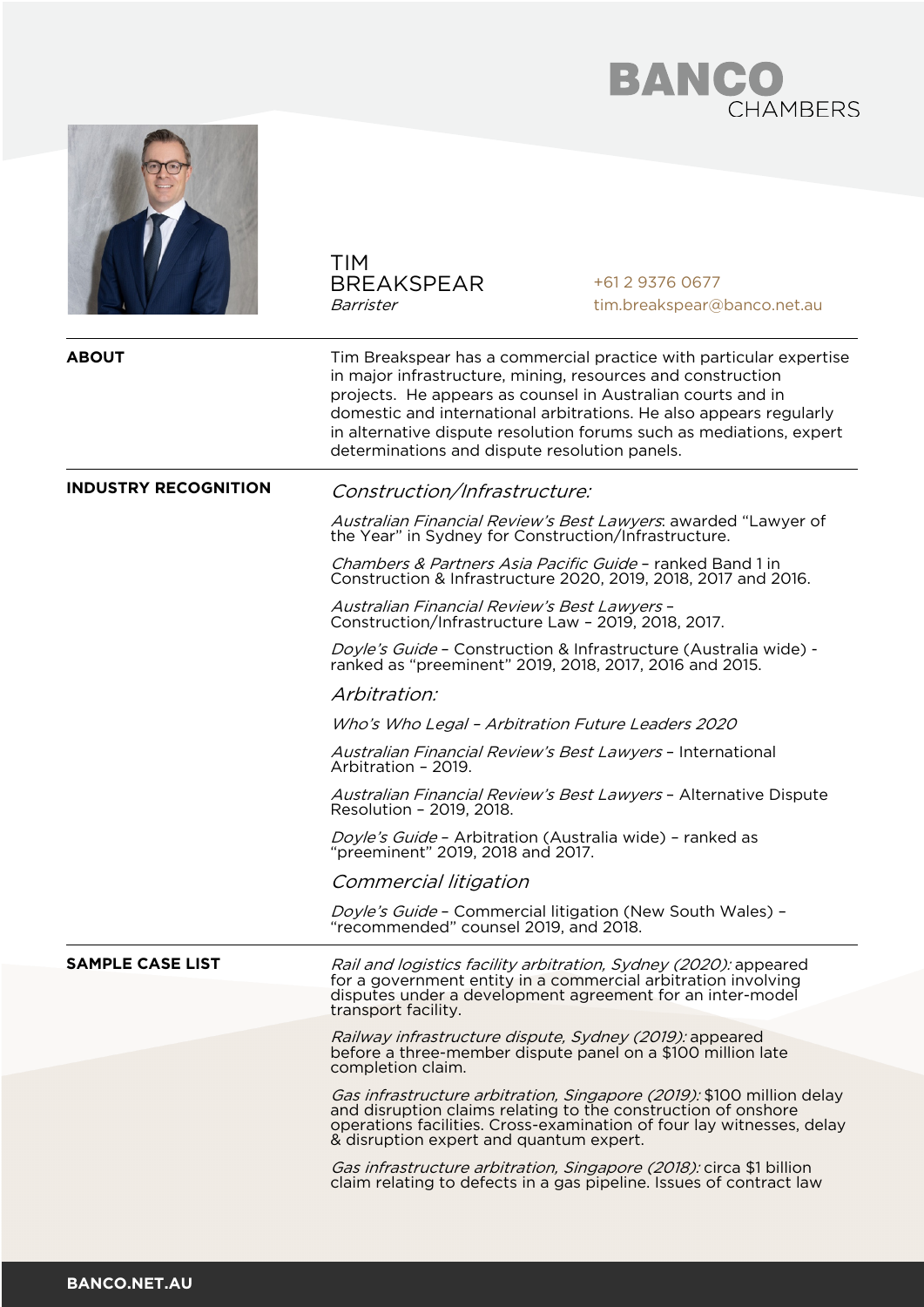



TIM BREAKSPEAR Barrister +61 2 9376 0677 tim.breakspear@banco.net.au **ABOUT** Tim Breakspear has a commercial practice with particular expertise in major infrastructure, mining, resources and construction projects. He appears as counsel in Australian courts and in domestic and international arbitrations. He also appears regularly in alternative dispute resolution forums such as mediations, expert determinations and dispute resolution panels. **INDUSTRY RECOGNITION** Construction/Infrastructure: Australian Financial Review's Best Lawyers: awarded "Lawyer of the Year" in Sydney for Construction/Infrastructure. Chambers & Partners Asia Pacific Guide – ranked Band 1 in Construction & Infrastructure 2020, 2019, 2018, 2017 and 2016. Australian Financial Review's Best Lawyers – Construction/Infrastructure Law – 2019, 2018, 2017. Doyle's Guide – Construction & Infrastructure (Australia wide) - ranked as "preeminent" 2019, 2018, 2017, 2016 and 2015. Arbitration: Who's Who Legal – Arbitration Future Leaders 2020 Australian Financial Review's Best Lawyers – International Arbitration – 2019. Australian Financial Review's Best Lawyers – Alternative Dispute Resolution – 2019, 2018. Doyle's Guide – Arbitration (Australia wide) – ranked as "preeminent" 2019, 2018 and 2017. Commercial litigation Doyle's Guide - Commercial litigation (New South Wales) - "recommended" counsel 2019, and 2018. **SAMPLE CASE LIST** Rail and logistics facility arbitration, Sydney (2020): appeared for a government entity in a commercial arbitration involving disputes under a development agreement for an inter-model transport facility. Railway infrastructure dispute, Sydney (2019): appeared before a three-member dispute panel on a \$100 million late completion claim. Gas infrastructure arbitration, Singapore (2019): \$100 million delay and disruption claims relating to the construction of onshore operations facilities. Cross-examination of four lay witnesses, delay & disruption expert and quantum expert. Gas infrastructure arbitration, Singapore (2018): circa \$1 billion claim relating to defects in a gas pipeline. Issues of contract law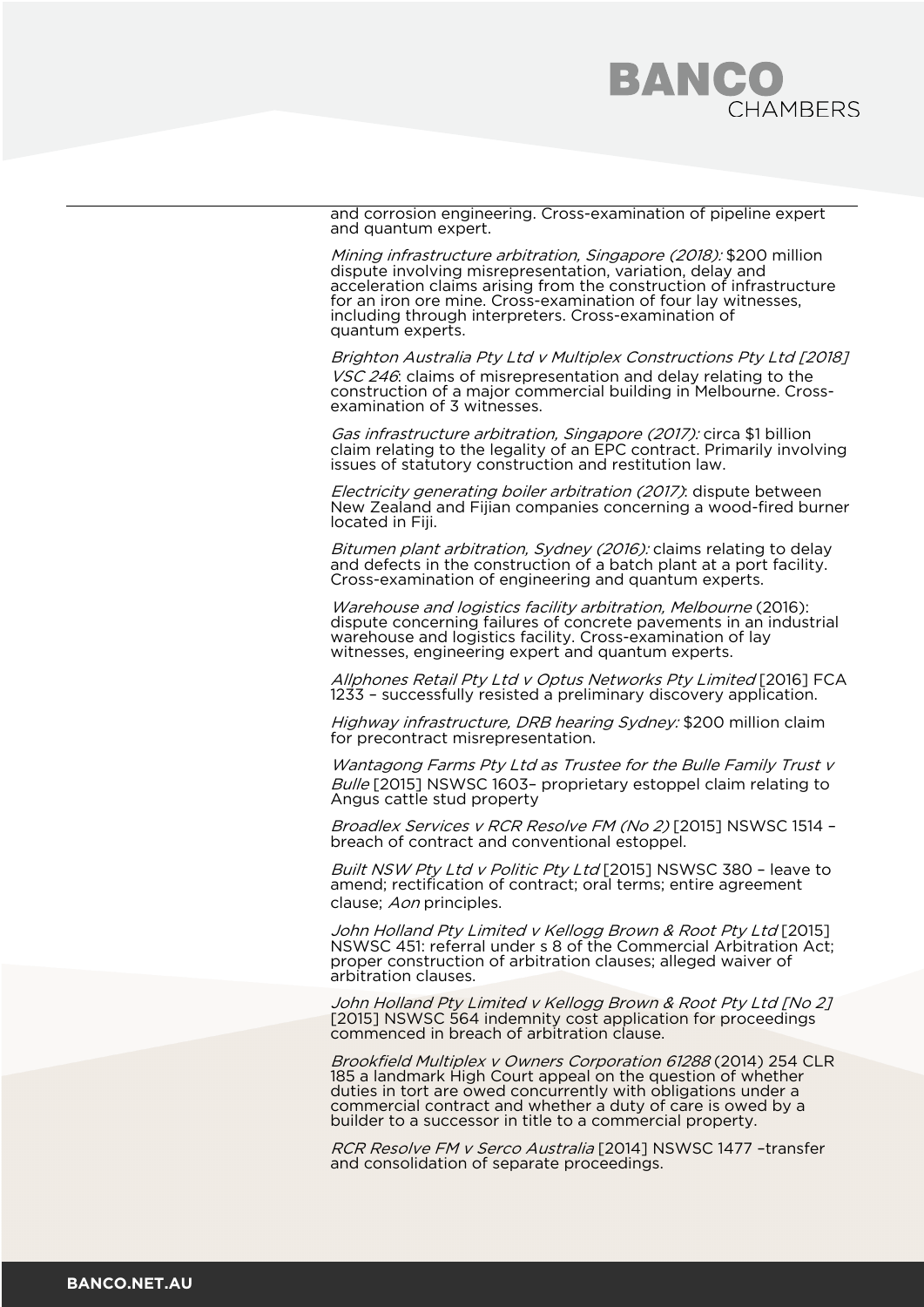

and corrosion engineering. Cross-examination of pipeline expert and quantum expert.

Mining infrastructure arbitration, Singapore (2018): \$200 million dispute involving misrepresentation, variation, delay and acceleration claims arising from the construction of infrastructure for an iron ore mine. Cross-examination of four lay witnesses, including through interpreters. Cross-examination of quantum experts.

Brighton Australia Pty Ltd v Multiplex Constructions Pty Ltd [2018] VSC 246: claims of misrepresentation and delay relating to the construction of a major commercial building in Melbourne. Cross- examination of 3 witnesses.

Gas infrastructure arbitration, Singapore (2017): circa \$1 billion claim relating to the legality of an EPC contract. Primarily involving issues of statutory construction and restitution law.

Electricity generating boiler arbitration (2017): dispute between New Zealand and Fijian companies concerning a wood-fired burner located in Fiji.

Bitumen plant arbitration, Sydney (2016): claims relating to delay and defects in the construction of a batch plant at a port facility. Cross-examination of engineering and quantum experts.

Warehouse and logistics facility arbitration, Melbourne (2016): dispute concerning failures of concrete pavements in an industrial warehouse and logistics facility. Cross-examination of lay witnesses, engineering expert and quantum experts.

Allphones Retail Pty Ltd v Optus Networks Pty Limited [2016] FCA 1233 – successfully resisted a preliminary discovery application.

Highway infrastructure, DRB hearing Sydney: \$200 million claim for precontract misrepresentation.

Wantagong Farms Pty Ltd as Trustee for the Bulle Family Trust v Bulle [2015] NSWSC 1603- proprietary estoppel claim relating to Angus cattle stud property

Broadlex Services v RCR Resolve FM (No 2) [2015] NSWSC 1514 - breach of contract and conventional estoppel.

Built NSW Pty Ltd v Politic Pty Ltd [2015] NSWSC 380 - leave to amend; rectification of contract; oral terms; entire agreement clause; Aon principles.

John Holland Pty Limited v Kellogg Brown & Root Pty Ltd [2015] NSWSC 451: referral under s 8 of the Commercial Arbitration Act; proper construction of arbitration clauses; alleged waiver of arbitration clauses.

John Holland Pty Limited v Kellogg Brown & Root Pty Ltd [No 2] [2015] NSWSC 564 indemnity cost application for proceedings commenced in breach of arbitration clause.

Brookfield Multiplex v Owners Corporation 61288 (2014) 254 CLR 185 a landmark High Court appeal on the question of whether duties in tort are owed concurrently with obligations under a commercial contract and whether a duty of care is owed by a builder to a successor in title to a commercial property.

RCR Resolve FM v Serco Australia [2014] NSWSC 1477 –transfer and consolidation of separate proceedings.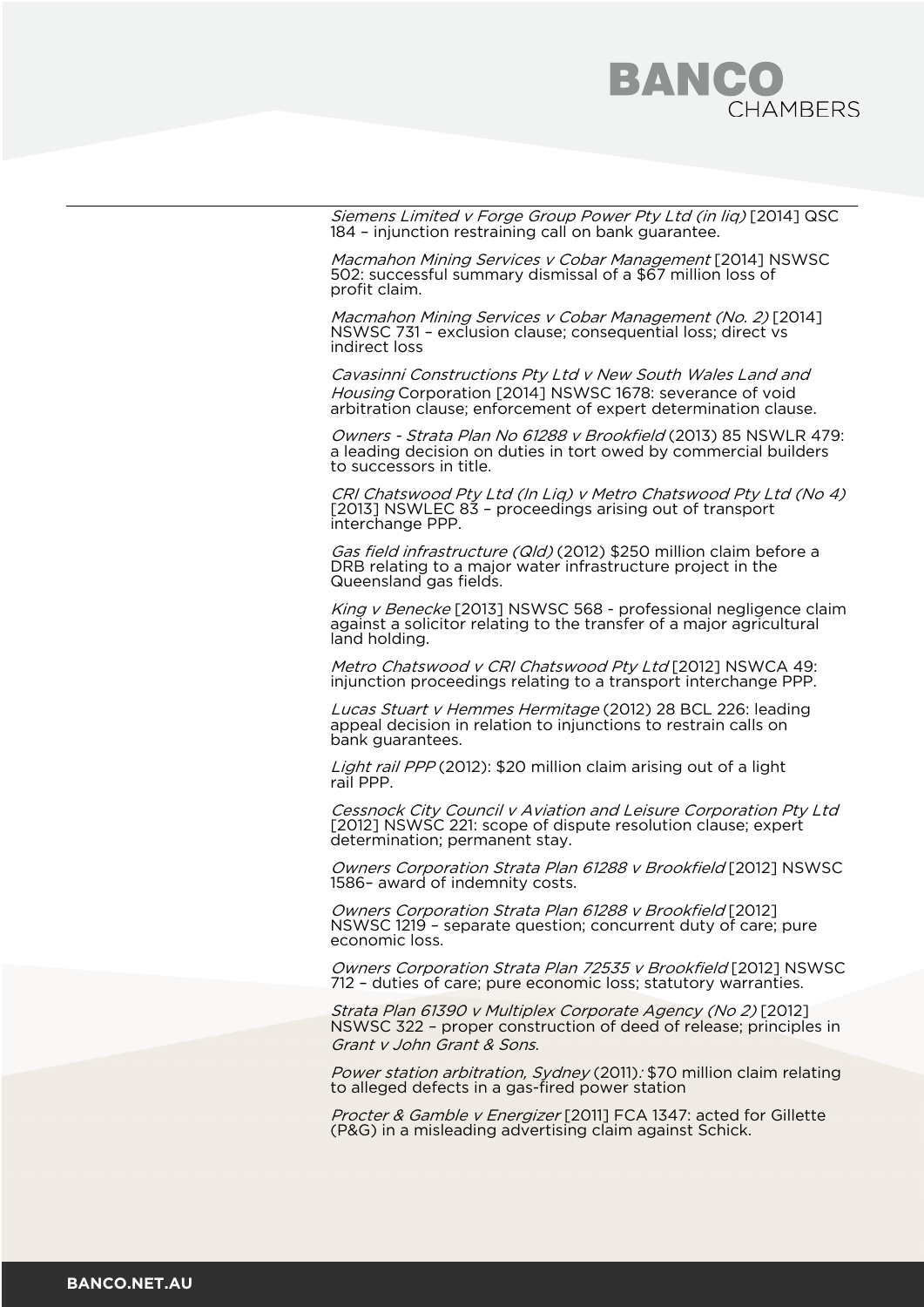

Siemens Limited v Forge Group Power Pty Ltd (in liq) [2014] QSC 184 – injunction restraining call on bank guarantee.

Macmahon Mining Services v Cobar Management [2014] NSWSC 502: successful summary dismissal of a \$67 million loss of profit claim.

Macmahon Mining Services v Cobar Management (No. 2) [2014] NSWSC 731 – exclusion clause; consequential loss; direct vs indirect loss

Cavasinni Constructions Pty Ltd v New South Wales Land and Housing Corporation [2014] NSWSC 1678: severance of void arbitration clause; enforcement of expert determination clause.

Owners - Strata Plan No 61288 v Brookfield (2013) 85 NSWLR 479: a leading decision on duties in tort owed by commercial builders to successors in title.

CRI Chatswood Pty Ltd (In Liq) v Metro Chatswood Pty Ltd (No 4) [2013] NSWLEC 83 – proceedings arising out of transport interchange PPP.

Gas field infrastructure (Qld) (2012) \$250 million claim before a DRB relating to a major water infrastructure project in the Queensland gas fields.

King v Benecke [2013] NSWSC 568 - professional negligence claim against a solicitor relating to the transfer of a major agricultural land holding.

Metro Chatswood v CRI Chatswood Pty Ltd [2012] NSWCA 49: injunction proceedings relating to a transport interchange PPP.

Lucas Stuart v Hemmes Hermitage (2012) 28 BCL 226: leading appeal decision in relation to injunctions to restrain calls on bank guarantees.

Light rail PPP (2012): \$20 million claim arising out of a light rail PPP.

Cessnock City Council v Aviation and Leisure Corporation Pty Ltd [2012] NSWSC 221: scope of dispute resolution clause; expert determination; permanent stay.

Owners Corporation Strata Plan 61288 v Brookfield [2012] NSWSC 1586– award of indemnity costs.

Owners Corporation Strata Plan 61288 v Brookfield [2012] NSWSC 1219 – separate question; concurrent duty of care; pure economic loss.

Owners Corporation Strata Plan 72535 v Brookfield [2012] NSWSC 712 – duties of care; pure economic loss; statutory warranties.

Strata Plan 61390 v Multiplex Corporate Agency (No 2) [2012] NSWSC 322 – proper construction of deed of release; principles in Grant v John Grant & Sons.

Power station arbitration, Sydney (2011): \$70 million claim relating to alleged defects in a gas-fired power station

Procter & Gamble v Energizer [2011] FCA 1347: acted for Gillette (P&G) in a misleading advertising claim against Schick.